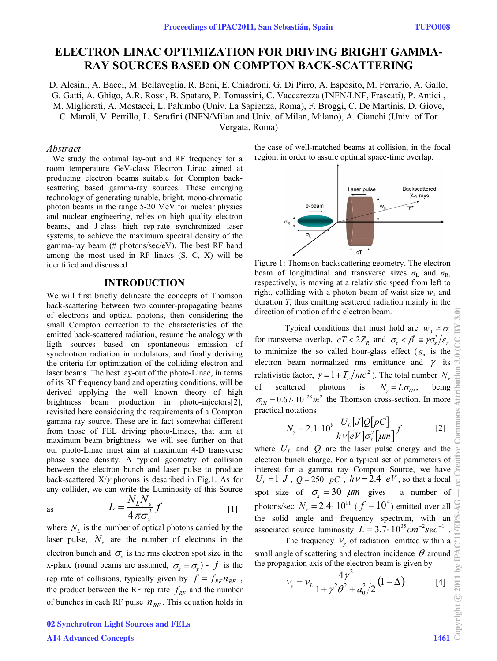# **ELECTRON LINAC OPTIMIZATION FOR DRIVING BRIGHT GAMMA-RAY SOURCES BASED ON COMPTON BACK-SCATTERING**

D. Alesini, A. Bacci, M. Bellaveglia, R. Boni, E. Chiadroni, G. Di Pirro, A. Esposito, M. Ferrario, A. Gallo, G. Gatti, A. Ghigo, A.R. Rossi, B. Spataro, P. Tomassini, C. Vaccarezza (INFN/LNF, Frascati), P. Antici , M. Migliorati, A. Mostacci, L. Palumbo (Univ. La Sapienza, Roma), F. Broggi, C. De Martinis, D. Giove, C. Maroli, V. Petrillo, L. Serafini (INFN/Milan and Univ. of Milan, Milano), A. Cianchi (Univ. of Tor Vergata, Roma)

### *Abstract*

We study the optimal lay-out and RF frequency for a room temperature GeV-class Electron Linac aimed at producing electron beams suitable for Compton backscattering based gamma-ray sources. These emerging technology of generating tunable, bright, mono-chromatic photon beams in the range 5-20 MeV for nuclear physics and nuclear engineering, relies on high quality electron beams, and J-class high rep-rate synchronized laser systems, to achieve the maximum spectral density of the gamma-ray beam (# photons/sec/eV). The best RF band among the most used in RF linacs (S, C, X) will be identified and discussed.

# **INTRODUCTION**

We will first briefly delineate the concepts of Thomson back-scattering between two counter-propagating beams of electrons and optical photons, then considering the small Compton correction to the characteristics of the emitted back-scattered radiation, resume the analogy with ligth sources based on spontaneous emission of synchrotron radiation in undulators, and finally deriving the criteria for optimization of the colliding electron and laser beams. The best lay-out of the photo-Linac, in terms of its RF frequency band and operating conditions, will be derived applying the well known theory of high brightness beam production in photo-injectors[2], revisited here considering the requirements of a Compton gamma ray source. These are in fact somewhat different from those of FEL driving photo-Linacs, that aim at maximum beam brightness: we will see further on that our photo-Linac must aim at maximum 4-D transverse phase space density. A typical geometry of collision between the electron bunch and laser pulse to produce back-scattered  $X/\gamma$  photons is described in Fig.1. As for any collider, we can write the Luminosity of this Source

as 
$$
L = \frac{N_L N_e}{4 \pi \sigma_x^2} f
$$
 [1]

where  $N<sub>L</sub>$  is the number of optical photons carried by the laser pulse,  $N_e$  are the number of electrons in the electron bunch and  $\sigma_{\rm r}$  is the rms electron spot size in the x-plane (round beams are assumed,  $\sigma_x = \sigma_y$ ) - *f* is the rep rate of collisions, typically given by  $f = f_{RF} n_{RF}$ , the product between the RF rep rate  $f_{RF}$  and the number of bunches in each RF pulse  $n_{RF}$ . This equation holds in

the case of well-matched beams at collision, in the focal region, in order to assure optimal space-time overlap.



Figure 1: Thomson backscattering geometry. The electron beam of longitudinal and transverse sizes  $\sigma_{\text{L}}$  and  $\sigma_{\text{R}}$ , respectively, is moving at a relativistic speed from left to right, colliding with a photon beam of waist size  $w_0$  and duration *T*, thus emitting scattered radiation mainly in the direction of motion of the electron beam.

Typical conditions that must hold are  $w_0 \cong \sigma_r$ for transverse overlap,  $cT < 2Z_R$  and  $\sigma_z < \beta^* \equiv \gamma \sigma_x^2 / \varepsilon_n$ to minimize the so called hour-glass effect ( $\varepsilon_n$  is the electron beam normalized rms emittance and  $\gamma$  its relativistic factor,  $\gamma = 1 + T_e / mc^2$ ). The total number  $N_\gamma$ of scattered photons is  $N_{\gamma} = L \sigma_{TH}$ , being  $\sigma_{TH} = 0.67 \cdot 10^{-28} m^2$  the Thomson cross-section. In more practical notations

$$
N_{\gamma} = 2.1 \cdot 10^8 \frac{U_L[J]Q[pc]}{h v[eV] \sigma_x^2[\mu m]} f \qquad [2]
$$

where  $U_L$  and  $Q$  are the laser pulse energy and the electron bunch charge. For a typical set of parameters of interest for a gamma ray Compton Source, we have  $U_L = 1$  *J*,  $Q = 250$  *pC*,  $h = 2.4$  *eV*, so that a focal spot size of  $\sigma_x = 30 \mu m$  gives a number of photons/sec  $N_{\gamma} = 2.4 \cdot 10^{11}$  ( $f = 10^{4}$ ) emitted over all the solid angle and frequency spectrum, with an associated source luminosity  $L = 3.7 \cdot 10^{35} \text{ cm}^{-2} \text{ sec}^{-1}$ .

small angle of scattering and electron incidence  $\theta$  around the propagation axis of the electron beam is given by

The frequency 
$$
V_{\gamma}
$$
 of radiation emitted within a  
\ngle of scattering and electron incidence  $\theta$  around  
\nagation axis of the electron beam is given by  
\n
$$
V_{\gamma} = V_{L} \frac{4\gamma^{2}}{1 + \gamma^{2} \theta^{2} + a_{0}^{2}/2} (1 - \Delta)
$$
\n[4]

02 Synchrotron Light Sources and FELs A14 Advanced Concepts 1461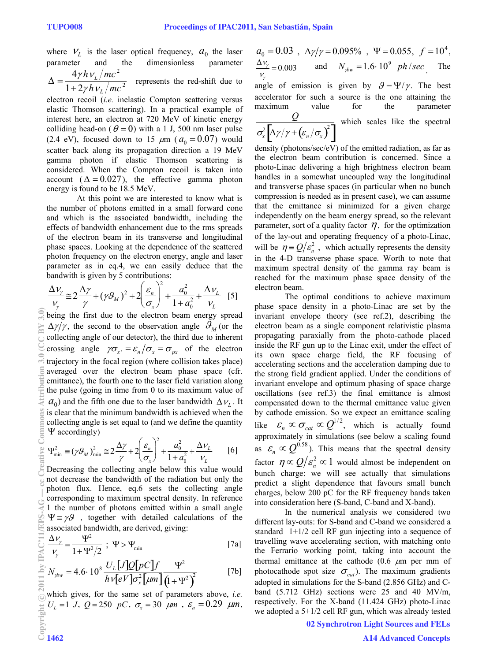where  $V_L$  is the laser optical frequency,  $a_0$  the laser parameter and the dimensionless parameter  $\Delta = \frac{4 \gamma h v_L/mc^2}{1 \cdot 2 L}$  $\frac{L}{1 + 2\gamma h v_L/mc^2}$  represents the red-shift due to

electron recoil (*i.e.* inelastic Compton scattering versus elastic Thomson scattering). In a practical example of interest here, an electron at 720 MeV of kinetic energy colliding head-on ( $\theta = 0$ ) with a 1 J, 500 nm laser pulse (2.4 eV), focused down to 15  $\mu$ m ( $a_0 = 0.07$ ) would scatter back along its propagation direction a 19 MeV gamma photon if elastic Thomson scattering is considered. When the Compton recoil is taken into account ( $\Delta = 0.027$ ), the effective gamma photon energy is found to be 18.5 MeV.

 At this point we are interested to know what is the number of photons emitted in a small forward cone and which is the associated bandwidth, including the effects of bandwidth enhancement due to the rms spreads of the electron beam in its transverse and longitudinal phase spaces. Looking at the dependence of the scattered photon frequency on the electron energy, angle and laser parameter as in eq.4, we can easily deduce that the bandwith is given by 5 contributions:

$$
\frac{\Delta v_{\gamma}}{v_{\gamma}} \approx 2\frac{\Delta \gamma}{\gamma} + (\gamma \mathcal{G}_M)^2 + 2\left(\frac{\varepsilon_n}{\sigma_x}\right)^2 + \frac{a_0^2}{1 + a_0^2} + \frac{\Delta v_L}{v_L} \quad [5]
$$

being the first due to the electron beam energy spread  $\Delta \gamma / \gamma$ , the second to the observation angle  $\mathcal{S}_M$  (or the collecting angle of our detector), the third due to inherent crossing angle  $\gamma \sigma_{x} = \varepsilon_n / \sigma_x = \sigma_{px}$  of the electron trajectory in the focal region (where collision takes place) averaged over the electron beam phase space (cfr. emittance), the fourth one to the laser field variation along the pulse (going in time from 0 to its maximum value of  $a_0$ ) and the fifth one due to the laser bandwidth  $\Delta v_i$ . It is clear that the minimum bandwidth is achieved when the collecting angle is set equal to (and we define the quantity  $\Psi$  accordingly)

$$
\Psi_{\min}^2 \equiv (\gamma \mathcal{G}_M)_{\min}^2 \approx 2\frac{\Delta \gamma}{\gamma} + 2\left(\frac{\varepsilon_n}{\sigma_x}\right)^2 + \frac{a_0^2}{1 + a_0^2} + \frac{\Delta v_L}{v_L} \qquad [6]
$$

Decreasing the collecting angle below this value would not decrease the bandwidth of the radiation but only the photon flux. Hence, eq.6 sets the collecting angle corresponding to maximum spectral density. In reference 1 the number of photons emitted within a small angle  $\Psi = \gamma \mathcal{G}$ , together with detailed calculations of the associated bandwidth, are derived, giving:

$$
\frac{\Delta v_{\gamma}}{v_{\gamma}} = \frac{\Psi^2}{1 + \Psi^2 / 2} \; ; \; \Psi > \Psi_{\text{min}} \tag{7a}
$$

$$
N_{\text{low}} = 4.6 \cdot 10^8 \frac{U_L[J]Q[pc]f}{h v[eV] \sigma_x^2 [\mu m]} \frac{\Psi^2}{(1 + \Psi^2)^2}
$$
 [7b]

which gives, for the same set of parameters above, *i.e.*  $U_L = 1$  *J*,  $Q = 250$  *pC*,  $\sigma_x = 30$   $\mu$ m,  $\varepsilon_n = 0.29$   $\mu$ m,

$$
a_0 = 0.03
$$
,  $\Delta \gamma / \gamma = 0.095\%$ ,  $\Psi = 0.055$ ,  $f = 10^4$ ,  
 $\frac{\Delta V_{\gamma}}{V_{\gamma}} = 0.003$  and  $N_{\gamma bw} = 1.6 \cdot 10^9$  ph/sec. The

angle of emission is given by  $\mathcal{G} = \Psi / \gamma$ . The best accelerator for such a source is the one attaining the maximum value for the parameter

$$
\frac{Q}{\sigma_x^2 \left[ \Delta \gamma / \gamma + \left( \varepsilon_n / \sigma_x \right)^2 \right]}
$$
 which scales like the spectral

density (photons/sec/eV) of the emitted radiation, as far as the electron beam contribution is concerned. Since a photo-Linac delivering a high brightness electron beam handles in a somewhat uncoupled way the longitudinal and transverse phase spaces (in particular when no bunch compression is needed as in present case), we can assume that the emittance si minimized for a given charge independently on the beam energy spread, so the relevant parameter, sort of a quality factor  $\eta$ , for the optimization of the lay-out and operating frequency of a photo-Linac, will be  $\eta = Q/\varepsilon_n^2$ , which actually represents the density in the 4-D transverse phase space. Worth to note that maximum spectral density of the gamma ray beam is reached for the maximum phase space density of the electron beam.

 The optimal conditions to achieve maximum phase space density in a photo-Linac are set by the invariant envelope theory (see ref.2), describing the electron beam as a single component relativistic plasma propagating paraxially from the photo-cathode placed inside the RF gun up to the Linac exit, under the effect of its own space charge field, the RF focusing of accelerating sections and the acceleration damping due to the strong field gradient applied. Under the conditions of invariant envelope and optimum phasing of space charge oscillations (see ref.3) the final emittance is almost compensated down to the thermal emittance value given by cathode emission. So we expect an emittance scaling like  $\varepsilon_n \propto \sigma_{cat} \propto Q^{1/2}$ , which is actually found approximately in simulations (see below a scaling found as  $\varepsilon_n \propto Q^{0.58}$ ). This means that the spectral density factor  $\eta \propto Q/\varepsilon_n^2 \propto 1$  would almost be independent on bunch charge: we will see actually that simulations predict a slight dependence that favours small bunch charges, below 200 pC for the RF frequency bands taken into consideration here (S-band, C-band and X-band).

 In the numerical analysis we considered two different lay-outs: for S-band and C-band we considered a standard 1+1/2 cell RF gun injecting into a sequence of travelling wave accelerating section, with matching onto the Ferrario working point, taking into account the thermal emittance at the cathode (0.6  $\mu$ m per mm of photocathode spot size  $\sigma_{cat}$ ). The maximum gradients adopted in simulations for the S-band (2.856 GHz) and Cband (5.712 GHz) sections were 25 and 40 MV/m, respectively. For the X-band (11.424 GHz) photo-Linac we adopted a 5+1/2 cell RF gun, which was already tested